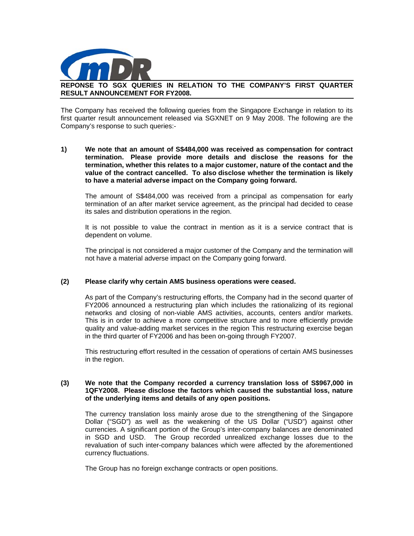

## **REPONSE TO SGX QUERIES IN RELATION TO THE COMPANY'S FIRST QUARTER RESULT ANNOUNCEMENT FOR FY2008.**

The Company has received the following queries from the Singapore Exchange in relation to its first quarter result announcement released via SGXNET on 9 May 2008. The following are the Company's response to such queries:-

**1) We note that an amount of S\$484,000 was received as compensation for contract termination. Please provide more details and disclose the reasons for the termination, whether this relates to a major customer, nature of the contact and the value of the contract cancelled. To also disclose whether the termination is likely to have a material adverse impact on the Company going forward.** 

The amount of S\$484,000 was received from a principal as compensation for early termination of an after market service agreement, as the principal had decided to cease its sales and distribution operations in the region.

It is not possible to value the contract in mention as it is a service contract that is dependent on volume.

The principal is not considered a major customer of the Company and the termination will not have a material adverse impact on the Company going forward.

### **(2) Please clarify why certain AMS business operations were ceased.**

As part of the Company's restructuring efforts, the Company had in the second quarter of FY2006 announced a restructuring plan which includes the rationalizing of its regional networks and closing of non-viable AMS activities, accounts, centers and/or markets. This is in order to achieve a more competitive structure and to more efficiently provide quality and value-adding market services in the region This restructuring exercise began in the third quarter of FY2006 and has been on-going through FY2007.

This restructuring effort resulted in the cessation of operations of certain AMS businesses in the region.

### **(3) We note that the Company recorded a currency translation loss of S\$967,000 in 1QFY2008. Please disclose the factors which caused the substantial loss, nature of the underlying items and details of any open positions.**

The currency translation loss mainly arose due to the strengthening of the Singapore Dollar ("SGD") as well as the weakening of the US Dollar ("USD") against other currencies. A significant portion of the Group's inter-company balances are denominated in SGD and USD. The Group recorded unrealized exchange losses due to the revaluation of such inter-company balances which were affected by the aforementioned currency fluctuations.

The Group has no foreign exchange contracts or open positions.